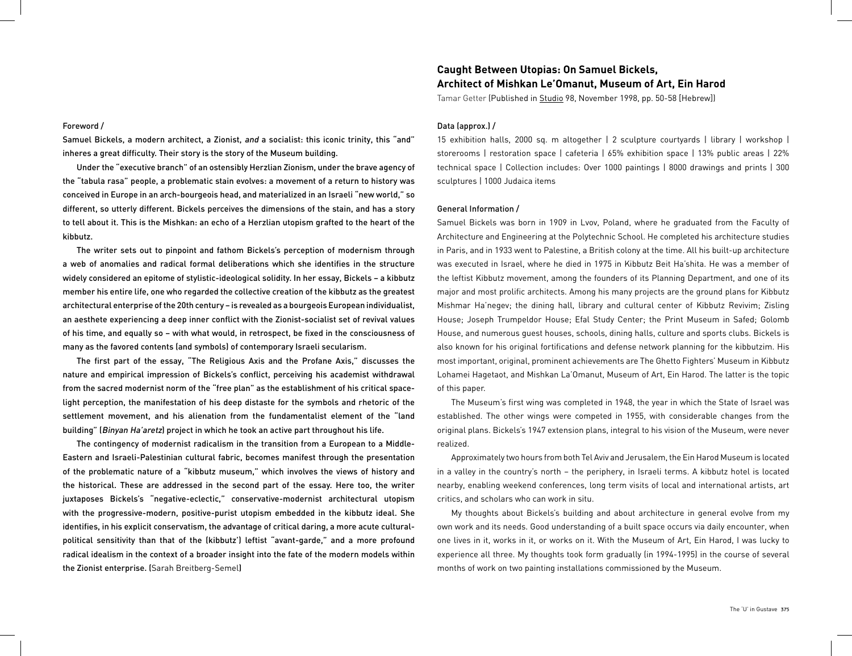### Foreword /

Samuel Bickels, a modern architect, a Zionist, and a socialist: this iconic trinity, this "and" inheres a great difficulty. Their story is the story of the Museum building.

Under the "executive branch" of an ostensibly Herzlian Zionism, under the brave agency of the "tabula rasa" people, a problematic stain evolves: a movement of a return to history was conceived in Europe in an arch-bourgeois head, and materialized in an Israeli "new world," so different, so utterly different. Bickels perceives the dimensions of the stain, and has a story to tell about it. This is the Mishkan: an echo of a Herzlian utopism grafted to the heart of the kibbutz.

The writer sets out to pinpoint and fathom Bickels's perception of modernism through a web of anomalies and radical formal deliberations which she identifies in the structure widely considered an epitome of stylistic-ideological solidity. In her essay, Bickels – a kibbutz member his entire life, one who regarded the collective creation of the kibbutz as the greatest architectural enterprise of the 20th century – is revealed as a bourgeois European individualist, an aesthete experiencing a deep inner conflict with the Zionist-socialist set of revival values of his time, and equally so – with what would, in retrospect, be fixed in the consciousness of many as the favored contents (and symbols) of contemporary Israeli secularism.

The first part of the essay, "The Religious Axis and the Profane Axis," discusses the nature and empirical impression of Bickels's conflict, perceiving his academist withdrawal from the sacred modernist norm of the "free plan" as the establishment of his critical spacelight perception, the manifestation of his deep distaste for the symbols and rhetoric of the settlement movement, and his alienation from the fundamentalist element of the "land building" (Binyan Ha'aretz) project in which he took an active part throughout his life.

The contingency of modernist radicalism in the transition from a European to a Middle-Eastern and Israeli-Palestinian cultural fabric, becomes manifest through the presentation of the problematic nature of a "kibbutz museum," which involves the views of history and the historical. These are addressed in the second part of the essay. Here too, the writer juxtaposes Bickels's "negative-eclectic," conservative-modernist architectural utopism with the progressive-modern, positive-purist utopism embedded in the kibbutz ideal. She identifies, in his explicit conservatism, the advantage of critical daring, a more acute culturalpolitical sensitivity than that of the (kibbutz') leftist "avant-garde," and a more profound radical idealism in the context of a broader insight into the fate of the modern models within the Zionist enterprise. (Sarah Breitberg-Semel)

# **Caught Between Utopias: On Samuel Bickels, Architect of Mishkan Le'Omanut, Museum of Art, Ein Harod**

Tamar Getter (Published in Studio 98, November 1998, pp. 50-58 [Hebrew])

## Data (approx.) /

15 exhibition halls, 2000 sq. m altogether | 2 sculpture courtyards | library | workshop | storerooms | restoration space | cafeteria | 65% exhibition space | 13% public areas | 22% technical space | Collection includes: Over 1000 paintings | 8000 drawings and prints | 300 sculptures | 1000 Judaica items

## General Information /

Samuel Bickels was born in 1909 in Lvov, Poland, where he graduated from the Faculty of Architecture and Engineering at the Polytechnic School. He completed his architecture studies in Paris, and in 1933 went to Palestine, a British colony at the time. All his built-up architecture was executed in Israel, where he died in 1975 in Kibbutz Beit Ha'shita. He was a member of the leftist Kibbutz movement, among the founders of its Planning Department, and one of its major and most prolific architects. Among his many projects are the ground plans for Kibbutz Mishmar Ha'negev; the dining hall, library and cultural center of Kibbutz Revivim; Zisling House; Joseph Trumpeldor House; Efal Study Center; the Print Museum in Safed; Golomb House, and numerous guest houses, schools, dining halls, culture and sports clubs. Bickels is also known for his original fortifications and defense network planning for the kibbutzim. His most important, original, prominent achievements are The Ghetto Fighters' Museum in Kibbutz Lohamei Hagetaot, and Mishkan La'Omanut, Museum of Art, Ein Harod. The latter is the topic of this paper.

The Museum's first wing was completed in 1948, the year in which the State of Israel was established. The other wings were competed in 1955, with considerable changes from the original plans. Bickels's 1947 extension plans, integral to his vision of the Museum, were never realized.

Approximately two hours from both Tel Aviv and Jerusalem, the Ein Harod Museum is located in a valley in the country's north – the periphery, in Israeli terms. A kibbutz hotel is located nearby, enabling weekend conferences, long term visits of local and international artists, art critics, and scholars who can work in situ.

My thoughts about Bickels's building and about architecture in general evolve from my own work and its needs. Good understanding of a built space occurs via daily encounter, when one lives in it, works in it, or works on it. With the Museum of Art, Ein Harod, I was lucky to experience all three. My thoughts took form gradually (in 1994-1995) in the course of several months of work on two painting installations commissioned by the Museum.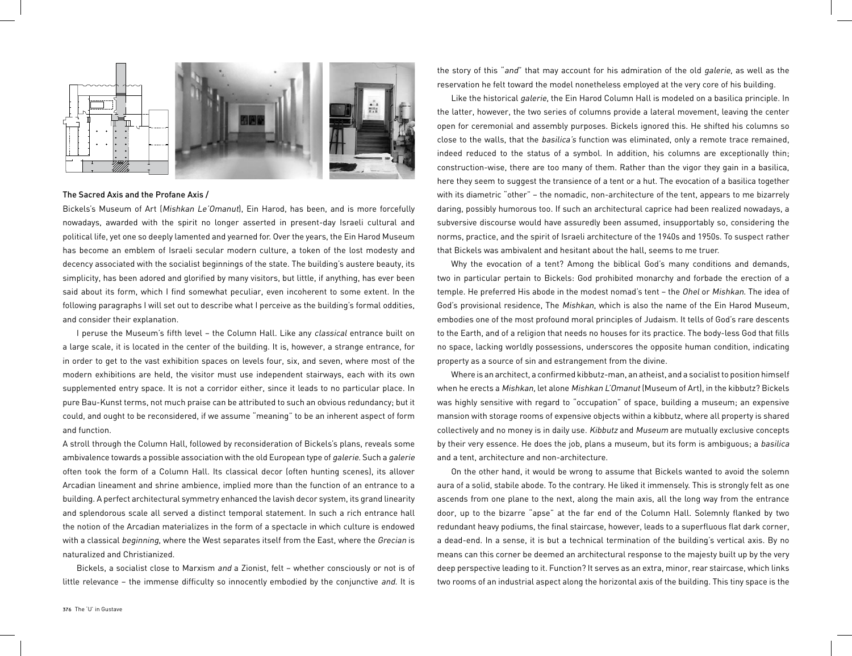

#### The Sacred Axis and the Profane Axis /

Bickels's Museum of Art (Mishkan Le'Omanut), Ein Harod, has been, and is more forcefully nowadays, awarded with the spirit no longer asserted in present-day Israeli cultural and political life, yet one so deeply lamented and yearned for. Over the years, the Ein Harod Museum has become an emblem of Israeli secular modern culture, a token of the lost modesty and decency associated with the socialist beginnings of the state. The building's austere beauty, its simplicity, has been adored and glorified by many visitors, but little, if anything, has ever been said about its form, which I find somewhat peculiar, even incoherent to some extent. In the following paragraphs I will set out to describe what I perceive as the building's formal oddities, and consider their explanation.

I peruse the Museum's fifth level – the Column Hall. Like any classical entrance built on a large scale, it is located in the center of the building. It is, however, a strange entrance, for in order to get to the vast exhibition spaces on levels four, six, and seven, where most of the modern exhibitions are held, the visitor must use independent stairways, each with its own supplemented entry space. It is not a corridor either, since it leads to no particular place. In pure Bau-Kunst terms, not much praise can be attributed to such an obvious redundancy; but it could, and ought to be reconsidered, if we assume "meaning" to be an inherent aspect of form and function.

A stroll through the Column Hall, followed by reconsideration of Bickels's plans, reveals some ambivalence towards a possible association with the old European type of galerie. Such a galerie often took the form of a Column Hall. Its classical decor (often hunting scenes), its allover Arcadian lineament and shrine ambience, implied more than the function of an entrance to a building. A perfect architectural symmetry enhanced the lavish decor system, its grand linearity and splendorous scale all served a distinct temporal statement. In such a rich entrance hall the notion of the Arcadian materializes in the form of a spectacle in which culture is endowed with a classical beginning, where the West separates itself from the East, where the Grecian is naturalized and Christianized.

Bickels, a socialist close to Marxism and a Zionist, felt – whether consciously or not is of little relevance – the immense difficulty so innocently embodied by the conjunctive and. It is the story of this "and" that may account for his admiration of the old galerie, as well as the reservation he felt toward the model nonetheless employed at the very core of his building.

Like the historical galerie, the Ein Harod Column Hall is modeled on a basilica principle. In the latter, however, the two series of columns provide a lateral movement, leaving the center open for ceremonial and assembly purposes. Bickels ignored this. He shifted his columns so close to the walls, that the basilica's function was eliminated, only a remote trace remained, indeed reduced to the status of a symbol. In addition, his columns are exceptionally thin; construction-wise, there are too many of them. Rather than the vigor they gain in a basilica, here they seem to suggest the transience of a tent or a hut. The evocation of a basilica together with its diametric "other" – the nomadic, non-architecture of the tent, appears to me bizarrely daring, possibly humorous too. If such an architectural caprice had been realized nowadays, a subversive discourse would have assuredly been assumed, insupportably so, considering the norms, practice, and the spirit of Israeli architecture of the 1940s and 1950s. To suspect rather that Bickels was ambivalent and hesitant about the hall, seems to me truer.

Why the evocation of a tent? Among the biblical God's many conditions and demands, two in particular pertain to Bickels: God prohibited monarchy and forbade the erection of a temple. He preferred His abode in the modest nomad's tent - the Ohel or Mishkan. The idea of God's provisional residence, The Mishkan, which is also the name of the Ein Harod Museum, embodies one of the most profound moral principles of Judaism. It tells of God's rare descents to the Earth, and of a religion that needs no houses for its practice. The body-less God that fills no space, lacking worldly possessions, underscores the opposite human condition, indicating property as a source of sin and estrangement from the divine.

Where is an architect, a confirmed kibbutz-man, an atheist, and a socialist to position himself when he erects a Mishkan, let alone Mishkan L'Omanut (Museum of Art), in the kibbutz? Bickels was highly sensitive with regard to "occupation" of space, building a museum; an expensive mansion with storage rooms of expensive objects within a kibbutz, where all property is shared collectively and no money is in daily use. Kibbutz and Museum are mutually exclusive concepts by their very essence. He does the job, plans a museum, but its form is ambiguous; a basilica and a tent, architecture and non-architecture.

On the other hand, it would be wrong to assume that Bickels wanted to avoid the solemn aura of a solid, stabile abode. To the contrary. He liked it immensely. This is strongly felt as one ascends from one plane to the next, along the main axis, all the long way from the entrance door, up to the bizarre "apse" at the far end of the Column Hall. Solemnly flanked by two redundant heavy podiums, the final staircase, however, leads to a superfluous flat dark corner, a dead-end. In a sense, it is but a technical termination of the building's vertical axis. By no means can this corner be deemed an architectural response to the majesty built up by the very deep perspective leading to it. Function? It serves as an extra, minor, rear staircase, which links two rooms of an industrial aspect along the horizontal axis of the building. This tiny space is the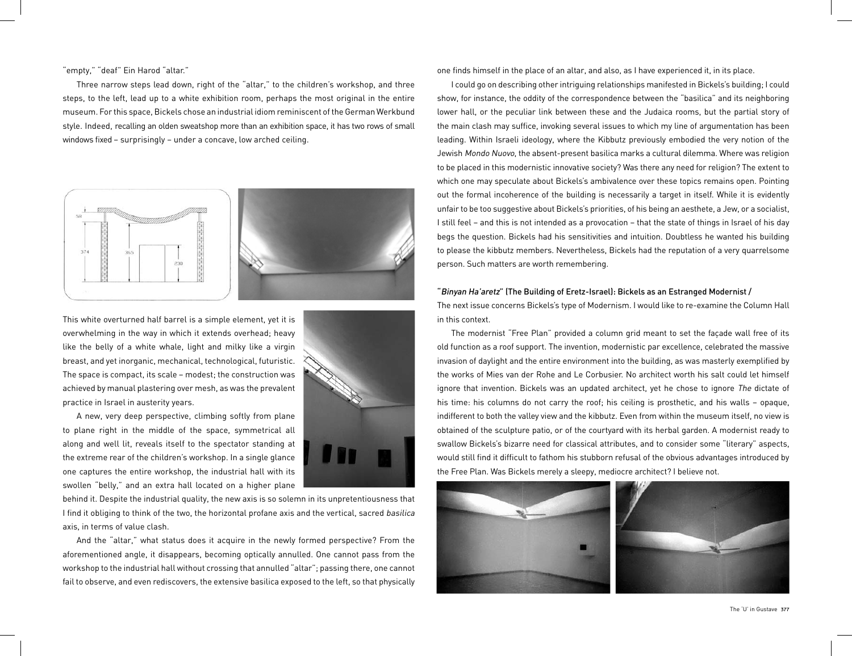## "empty," "deaf" Ein Harod "altar."

Three narrow steps lead down, right of the "altar," to the children's workshop, and three steps, to the left, lead up to a white exhibition room, perhaps the most original in the entire museum. For this space, Bickels chose an industrial idiom reminiscent of the German Werkbund style. Indeed, recalling an olden sweatshop more than an exhibition space, it has two rows of small windows fixed – surprisingly – under a concave, low arched ceiling.



This white overturned half barrel is a simple element, yet it is overwhelming in the way in which it extends overhead; heavy like the belly of a white whale, light and milky like a virgin breast, and yet inorganic, mechanical, technological, futuristic. The space is compact, its scale – modest; the construction was achieved by manual plastering over mesh, as was the prevalent practice in Israel in austerity years.

A new, very deep perspective, climbing softly from plane to plane right in the middle of the space, symmetrical all along and well lit, reveals itself to the spectator standing at the extreme rear of the children's workshop. In a single glance one captures the entire workshop, the industrial hall with its swollen "belly," and an extra hall located on a higher plane



behind it. Despite the industrial quality, the new axis is so solemn in its unpretentiousness that I find it obliging to think of the two, the horizontal profane axis and the vertical, sacred basilica axis, in terms of value clash.

And the "altar," what status does it acquire in the newly formed perspective? From the aforementioned angle, it disappears, becoming optically annulled. One cannot pass from the workshop to the industrial hall without crossing that annulled "altar"; passing there, one cannot fail to observe, and even rediscovers, the extensive basilica exposed to the left, so that physically one finds himself in the place of an altar, and also, as I have experienced it, in its place.

I could go on describing other intriguing relationships manifested in Bickels's building; I could show, for instance, the oddity of the correspondence between the "basilica" and its neighboring lower hall, or the peculiar link between these and the Judaica rooms, but the partial story of the main clash may suffice, invoking several issues to which my line of argumentation has been leading. Within Israeli ideology, where the Kibbutz previously embodied the very notion of the Jewish Mondo Nuovo, the absent-present basilica marks a cultural dilemma. Where was religion to be placed in this modernistic innovative society? Was there any need for religion? The extent to which one may speculate about Bickels's ambivalence over these topics remains open. Pointing out the formal incoherence of the building is necessarily a target in itself. While it is evidently unfair to be too suggestive about Bickels's priorities, of his being an aesthete, a Jew, or a socialist, I still feel – and this is not intended as a provocation – that the state of things in Israel of his day begs the question. Bickels had his sensitivities and intuition. Doubtless he wanted his building to please the kibbutz members. Nevertheless, Bickels had the reputation of a very quarrelsome person. Such matters are worth remembering.

# "Binyan Ha'aretz" (The Building of Eretz-Israel): Bickels as an Estranged Modernist /

The next issue concerns Bickels's type of Modernism. I would like to re-examine the Column Hall in this context.

The modernist "Free Plan" provided a column grid meant to set the façade wall free of its old function as a roof support. The invention, modernistic par excellence, celebrated the massive invasion of daylight and the entire environment into the building, as was masterly exemplified by the works of Mies van der Rohe and Le Corbusier. No architect worth his salt could let himself ignore that invention. Bickels was an updated architect, yet he chose to ignore The dictate of his time: his columns do not carry the roof; his ceiling is prosthetic, and his walls – opaque, indifferent to both the valley view and the kibbutz. Even from within the museum itself, no view is obtained of the sculpture patio, or of the courtyard with its herbal garden. A modernist ready to swallow Bickels's bizarre need for classical attributes, and to consider some "literary" aspects, would still find it difficult to fathom his stubborn refusal of the obvious advantages introduced by the Free Plan. Was Bickels merely a sleepy, mediocre architect? I believe not.

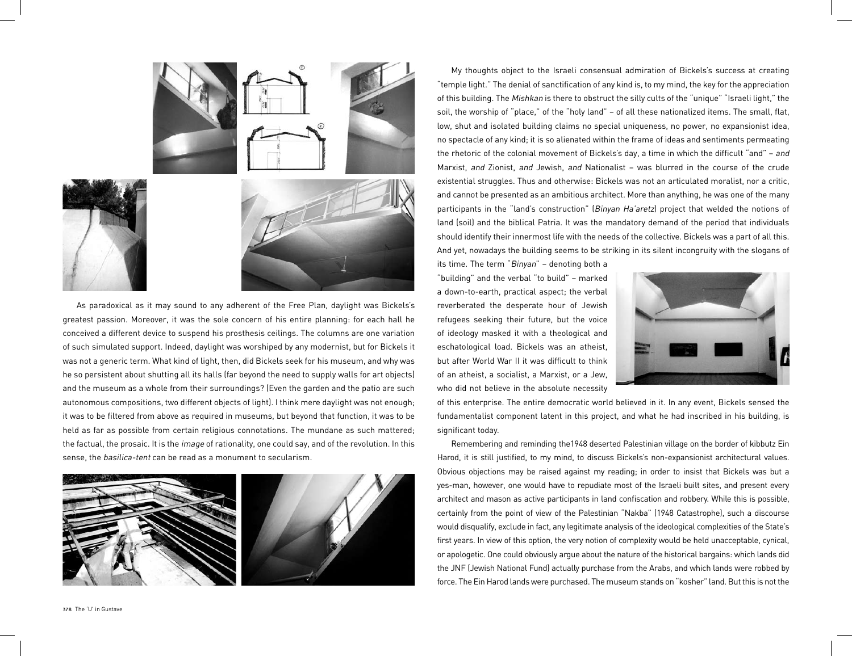

As paradoxical as it may sound to any adherent of the Free Plan, daylight was Bickels's greatest passion. Moreover, it was the sole concern of his entire planning: for each hall he conceived a different device to suspend his prosthesis ceilings. The columns are one variation of such simulated support. Indeed, daylight was worshiped by any modernist, but for Bickels it was not a generic term. What kind of light, then, did Bickels seek for his museum, and why was he so persistent about shutting all its halls (far beyond the need to supply walls for art objects) and the museum as a whole from their surroundings? (Even the garden and the patio are such autonomous compositions, two different objects of light). I think mere daylight was not enough; it was to be filtered from above as required in museums, but beyond that function, it was to be held as far as possible from certain religious connotations. The mundane as such mattered; the factual, the prosaic. It is the image of rationality, one could say, and of the revolution. In this sense, the basilica-tent can be read as a monument to secularism.



My thoughts object to the Israeli consensual admiration of Bickels's success at creating "temple light." The denial of sanctification of any kind is, to my mind, the key for the appreciation of this building. The Mishkan is there to obstruct the silly cults of the "unique" "Israeli light," the soil, the worship of "place," of the "holy land" – of all these nationalized items. The small, flat, low, shut and isolated building claims no special uniqueness, no power, no expansionist idea, no spectacle of any kind; it is so alienated within the frame of ideas and sentiments permeating the rhetoric of the colonial movement of Bickels's day, a time in which the difficult "and" – and Marxist, and Zionist, and Jewish, and Nationalist – was blurred in the course of the crude existential struggles. Thus and otherwise: Bickels was not an articulated moralist, nor a critic, and cannot be presented as an ambitious architect. More than anything, he was one of the many participants in the "land's construction" (Binyan Ha'aretz) project that welded the notions of land (soil) and the biblical Patria. It was the mandatory demand of the period that individuals should identify their innermost life with the needs of the collective. Bickels was a part of all this. And yet, nowadays the building seems to be striking in its silent incongruity with the slogans of

its time. The term "Binyan" – denoting both a "building" and the verbal "to build" – marked a down-to-earth, practical aspect; the verbal reverberated the desperate hour of Jewish refugees seeking their future, but the voice of ideology masked it with a theological and eschatological load. Bickels was an atheist, but after World War II it was difficult to think of an atheist, a socialist, a Marxist, or a Jew, who did not believe in the absolute necessity



of this enterprise. The entire democratic world believed in it. In any event, Bickels sensed the fundamentalist component latent in this project, and what he had inscribed in his building, is significant today.

Remembering and reminding the1948 deserted Palestinian village on the border of kibbutz Ein Harod, it is still justified, to my mind, to discuss Bickels's non-expansionist architectural values. Obvious objections may be raised against my reading; in order to insist that Bickels was but a yes-man, however, one would have to repudiate most of the Israeli built sites, and present every architect and mason as active participants in land confiscation and robbery. While this is possible, certainly from the point of view of the Palestinian "Nakba" (1948 Catastrophe), such a discourse would disqualify, exclude in fact, any legitimate analysis of the ideological complexities of the State's first years. In view of this option, the very notion of complexity would be held unacceptable, cynical, or apologetic. One could obviously argue about the nature of the historical bargains: which lands did the JNF (Jewish National Fund) actually purchase from the Arabs, and which lands were robbed by force. The Ein Harod lands were purchased. The museum stands on "kosher" land. But this is not the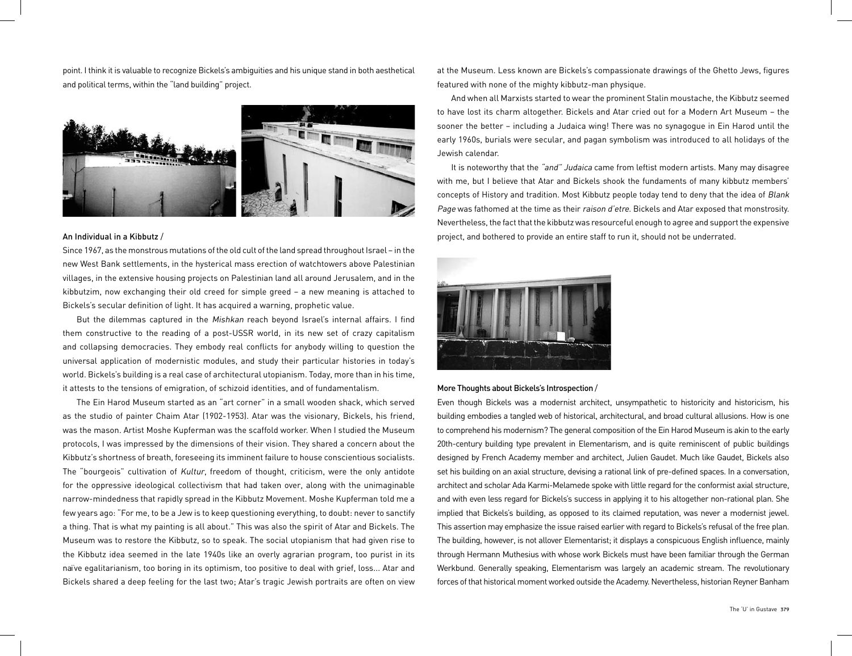point. I think it is valuable to recognize Bickels's ambiguities and his unique stand in both aesthetical and political terms, within the "land building" project.



#### An Individual in a Kibbutz /

Since 1967, as the monstrous mutations of the old cult of the land spread throughout Israel – in the new West Bank settlements, in the hysterical mass erection of watchtowers above Palestinian villages, in the extensive housing projects on Palestinian land all around Jerusalem, and in the kibbutzim, now exchanging their old creed for simple greed – a new meaning is attached to Bickels's secular definition of light. It has acquired a warning, prophetic value.

But the dilemmas captured in the Mishkan reach beyond Israel's internal affairs. I find them constructive to the reading of a post-USSR world, in its new set of crazy capitalism and collapsing democracies. They embody real conflicts for anybody willing to question the universal application of modernistic modules, and study their particular histories in today's world. Bickels's building is a real case of architectural utopianism. Today, more than in his time, it attests to the tensions of emigration, of schizoid identities, and of fundamentalism.

The Ein Harod Museum started as an "art corner" in a small wooden shack, which served as the studio of painter Chaim Atar (1902-1953). Atar was the visionary, Bickels, his friend, was the mason. Artist Moshe Kupferman was the scaffold worker. When I studied the Museum protocols, I was impressed by the dimensions of their vision. They shared a concern about the Kibbutz's shortness of breath, foreseeing its imminent failure to house conscientious socialists. The "bourgeois" cultivation of Kultur, freedom of thought, criticism, were the only antidote for the oppressive ideological collectivism that had taken over, along with the unimaginable narrow-mindedness that rapidly spread in the Kibbutz Movement. Moshe Kupferman told me a few years ago: "For me, to be a Jew is to keep questioning everything, to doubt: never to sanctify a thing. That is what my painting is all about." This was also the spirit of Atar and Bickels. The Museum was to restore the Kibbutz, so to speak. The social utopianism that had given rise to the Kibbutz idea seemed in the late 1940s like an overly agrarian program, too purist in its naïve egalitarianism, too boring in its optimism, too positive to deal with grief, loss... Atar and Bickels shared a deep feeling for the last two; Atar's tragic Jewish portraits are often on view

at the Museum. Less known are Bickels's compassionate drawings of the Ghetto Jews, figures featured with none of the mighty kibbutz-man physique.

And when all Marxists started to wear the prominent Stalin moustache, the Kibbutz seemed to have lost its charm altogether. Bickels and Atar cried out for a Modern Art Museum – the sooner the better – including a Judaica wing! There was no synagogue in Ein Harod until the early 1960s, burials were secular, and pagan symbolism was introduced to all holidays of the Jewish calendar.

It is noteworthy that the "and" Judaica came from leftist modern artists. Many may disagree with me, but I believe that Atar and Bickels shook the fundaments of many kibbutz members' concepts of History and tradition. Most Kibbutz people today tend to deny that the idea of Blank Page was fathomed at the time as their raison d'etre. Bickels and Atar exposed that monstrosity. Nevertheless, the fact that the kibbutz was resourceful enough to agree and support the expensive project, and bothered to provide an entire staff to run it, should not be underrated.



## More Thoughts about Bickels's Introspection /

Even though Bickels was a modernist architect, unsympathetic to historicity and historicism, his building embodies a tangled web of historical, architectural, and broad cultural allusions. How is one to comprehend his modernism? The general composition of the Ein Harod Museum is akin to the early 20th-century building type prevalent in Elementarism, and is quite reminiscent of public buildings designed by French Academy member and architect, Julien Gaudet. Much like Gaudet, Bickels also set his building on an axial structure, devising a rational link of pre-defined spaces. In a conversation, architect and scholar Ada Karmi-Melamede spoke with little regard for the conformist axial structure, and with even less regard for Bickels's success in applying it to his altogether non-rational plan. She implied that Bickels's building, as opposed to its claimed reputation, was never a modernist jewel. This assertion may emphasize the issue raised earlier with regard to Bickels's refusal of the free plan. The building, however, is not allover Elementarist; it displays a conspicuous English influence, mainly through Hermann Muthesius with whose work Bickels must have been familiar through the German Werkbund. Generally speaking, Elementarism was largely an academic stream. The revolutionary forces of that historical moment worked outside the Academy. Nevertheless, historian Reyner Banham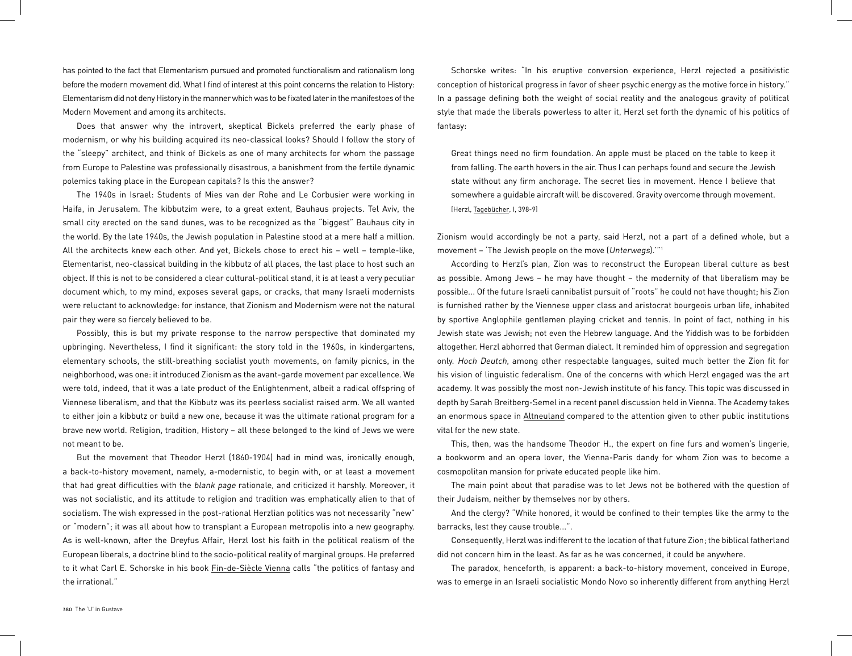has pointed to the fact that Elementarism pursued and promoted functionalism and rationalism long before the modern movement did. What I find of interest at this point concerns the relation to History: Elementarism did not deny History in the manner which was to be fixated later in the manifestoes of the Modern Movement and among its architects.

Does that answer why the introvert, skeptical Bickels preferred the early phase of modernism, or why his building acquired its neo-classical looks? Should I follow the story of the "sleepy" architect, and think of Bickels as one of many architects for whom the passage from Europe to Palestine was professionally disastrous, a banishment from the fertile dynamic polemics taking place in the European capitals? Is this the answer?

The 1940s in Israel: Students of Mies van der Rohe and Le Corbusier were working in Haifa, in Jerusalem. The kibbutzim were, to a great extent, Bauhaus projects. Tel Aviv, the small city erected on the sand dunes, was to be recognized as the "biggest" Bauhaus city in the world. By the late 1940s, the Jewish population in Palestine stood at a mere half a million. All the architects knew each other. And yet, Bickels chose to erect his – well – temple-like, Elementarist, neo-classical building in the kibbutz of all places, the last place to host such an object. If this is not to be considered a clear cultural-political stand, it is at least a very peculiar document which, to my mind, exposes several gaps, or cracks, that many Israeli modernists were reluctant to acknowledge: for instance, that Zionism and Modernism were not the natural pair they were so fiercely believed to be.

Possibly, this is but my private response to the narrow perspective that dominated my upbringing. Nevertheless, I find it significant: the story told in the 1960s, in kindergartens, elementary schools, the still-breathing socialist youth movements, on family picnics, in the neighborhood, was one: it introduced Zionism as the avant-garde movement par excellence. We were told, indeed, that it was a late product of the Enlightenment, albeit a radical offspring of Viennese liberalism, and that the Kibbutz was its peerless socialist raised arm. We all wanted to either join a kibbutz or build a new one, because it was the ultimate rational program for a brave new world. Religion, tradition, History – all these belonged to the kind of Jews we were not meant to be.

But the movement that Theodor Herzl (1860-1904) had in mind was, ironically enough, a back-to-history movement, namely, a-modernistic, to begin with, or at least a movement that had great difficulties with the blank page rationale, and criticized it harshly. Moreover, it was not socialistic, and its attitude to religion and tradition was emphatically alien to that of socialism. The wish expressed in the post-rational Herzlian politics was not necessarily "new" or "modern"; it was all about how to transplant a European metropolis into a new geography. As is well-known, after the Dreyfus Affair, Herzl lost his faith in the political realism of the European liberals, a doctrine blind to the socio-political reality of marginal groups. He preferred to it what Carl E. Schorske in his book **Fin-de-Siècle Vienna** calls "the politics of fantasy and the irrational."

Schorske writes: "In his eruptive conversion experience, Herzl rejected a positivistic conception of historical progress in favor of sheer psychic energy as the motive force in history." In a passage defining both the weight of social reality and the analogous gravity of political style that made the liberals powerless to alter it, Herzl set forth the dynamic of his politics of fantasy:

Great things need no firm foundation. An apple must be placed on the table to keep it from falling. The earth hovers in the air. Thus I can perhaps found and secure the Jewish state without any firm anchorage. The secret lies in movement. Hence I believe that somewhere a guidable aircraft will be discovered. Gravity overcome through movement. [Herzl, Tagebücher, I, 398-9]

Zionism would accordingly be not a party, said Herzl, not a part of a defined whole, but a movement – 'The Jewish people on the move (Unterwegs).'"1

According to Herzl's plan, Zion was to reconstruct the European liberal culture as best as possible. Among Jews – he may have thought – the modernity of that liberalism may be possible... Of the future Israeli cannibalist pursuit of "roots" he could not have thought; his Zion is furnished rather by the Viennese upper class and aristocrat bourgeois urban life, inhabited by sportive Anglophile gentlemen playing cricket and tennis. In point of fact, nothing in his Jewish state was Jewish; not even the Hebrew language. And the Yiddish was to be forbidden altogether. Herzl abhorred that German dialect. It reminded him of oppression and segregation only. Hoch Deutch, among other respectable languages, suited much better the Zion fit for his vision of linguistic federalism. One of the concerns with which Herzl engaged was the art academy. It was possibly the most non-Jewish institute of his fancy. This topic was discussed in depth by Sarah Breitberg-Semel in a recent panel discussion held in Vienna. The Academy takes an enormous space in Altneuland compared to the attention given to other public institutions vital for the new state.

This, then, was the handsome Theodor H., the expert on fine furs and women's lingerie, a bookworm and an opera lover, the Vienna-Paris dandy for whom Zion was to become a cosmopolitan mansion for private educated people like him.

The main point about that paradise was to let Jews not be bothered with the question of their Judaism, neither by themselves nor by others.

And the clergy? "While honored, it would be confined to their temples like the army to the barracks, lest they cause trouble...".

Consequently, Herzl was indifferent to the location of that future Zion; the biblical fatherland did not concern him in the least. As far as he was concerned, it could be anywhere.

The paradox, henceforth, is apparent: a back-to-history movement, conceived in Europe, was to emerge in an Israeli socialistic Mondo Novo so inherently different from anything Herzl